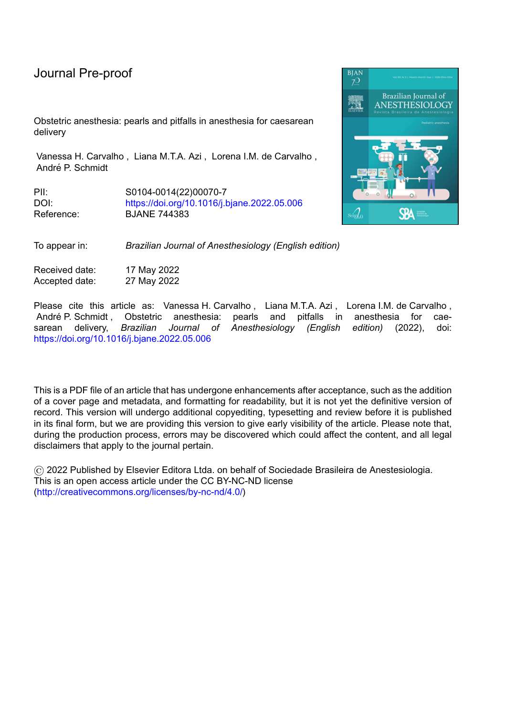# Journal Pre-proof

Obstetric anesthesia: pearls and pitfalls in anesthesia for caesarean delivery

Vanessa H. Carvalho , Liana M.T.A. Azi , Lorena I.M. de Carvalho , André P. Schmidt

PII: S0104-0014(22)00070-7 DOI: <https://doi.org/10.1016/j.bjane.2022.05.006> Reference: BJANE 744383



To appear in: *Brazilian Journal of Anesthesiology (English edition)*

Received date: 17 May 2022 Accepted date: 27 May 2022

Please cite this article as: Vanessa H. Carvalho, Liana M.T.A. Azi, Lorena I.M. de Carvalho, André P. Schmidt , Obstetric anesthesia: pearls and pitfalls in anesthesia for caesarean delivery, *Brazilian Journal of Anesthesiology (English edition)* (2022), doi: <https://doi.org/10.1016/j.bjane.2022.05.006>

This is a PDF file of an article that has undergone enhancements after acceptance, such as the addition of a cover page and metadata, and formatting for readability, but it is not yet the definitive version of record. This version will undergo additional copyediting, typesetting and review before it is published in its final form, but we are providing this version to give early visibility of the article. Please note that, during the production process, errors may be discovered which could affect the content, and all legal disclaimers that apply to the journal pertain.

© 2022 Published by Elsevier Editora Ltda. on behalf of Sociedade Brasileira de Anestesiologia. This is an open access article under the CC BY-NC-ND license [\(http://creativecommons.org/licenses/by-nc-nd/4.0/\)](http://creativecommons.org/licenses/by-nc-nd/4.0/)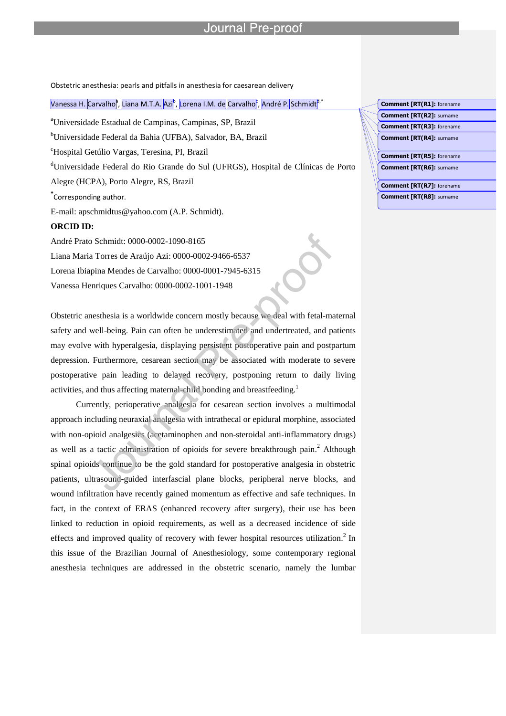## Journal

Obstetric anesthesia: pearls and pitfalls in anesthesia for caesarean delivery

l

### Vanessa H. <mark>Carvalho</mark><sup>a</sup>, Liana M.T.A. <mark>Azi<sup>b</sup>, Lorena I.M. de</mark> Carvalho<mark><sup>c</sup>, André P. </mark>Schmidt<sup>a,\*</sup>

<sup>a</sup>Universidade Estadual de Campinas, Campinas, SP, Brazil

<sup>b</sup>Universidade Federal da Bahia (UFBA), Salvador, BA, Brazil

<sup>c</sup>Hospital Getúlio Vargas, Teresina, PI, Brazil

<sup>d</sup>Universidade Federal do Rio Grande do Sul (UFRGS), Hospital de Clínicas de Porto

Alegre (HCPA), Porto Alegre, RS, Brazil

**\*** Corresponding author.

E-mail: apschmidtus@yahoo.com (A.P. Schmidt).

### **ORCID ID:**

André Prato Schmidt: 0000-0002-1090-8165 Liana Maria Torres de Araújo Azi: 0000-0002-9466-6537 Lorena Ibiapina Mendes de Carvalho: 0000-0001-7945-6315 Vanessa Henriques Carvalho: 0000-0002-1001-1948

Obstetric anesthesia is a worldwide concern mostly because we deal with fetal-maternal safety and well-being. Pain can often be underestimated and undertreated, and patients may evolve with hyperalgesia, displaying persistent postoperative pain and postpartum depression. Furthermore, cesarean section may be associated with moderate to severe postoperative pain leading to delayed recovery, postponing return to daily living activities, and thus affecting maternal-child bonding and breastfeeding.<sup>1</sup>

Currently, perioperative analgesia for cesarean section involves a multimodal approach including neuraxial analgesia with intrathecal or epidural morphine, associated with non-opioid analgesics (acetaminophen and non-steroidal anti-inflammatory drugs) as well as a tactic administration of opioids for severe breakthrough pain. <sup>2</sup> Although spinal opioids continue to be the gold standard for postoperative analgesia in obstetric patients, ultrasound-guided interfascial plane blocks, peripheral nerve blocks, and wound infiltration have recently gained momentum as effective and safe techniques. In fact, in the context of ERAS (enhanced recovery after surgery), their use has been linked to reduction in opioid requirements, as well as a decreased incidence of side effects and improved quality of recovery with fewer hospital resources utilization.<sup>2</sup> In this issue of the Brazilian Journal of Anesthesiology, some contemporary regional anesthesia techniques are addressed in the obstetric scenario, namely the lumbar

**Comment [RT(R1]:** forename **Comment [RT(R2]:** surname

**Comment [RT(R3]:** forename

**Comment [RT(R4]:** surname

**Comment [RT(R5]:** forename **Comment [RT(R6]:** surname

**Comment [RT(R7]:** forename

**Comment [RT(R8]:** surname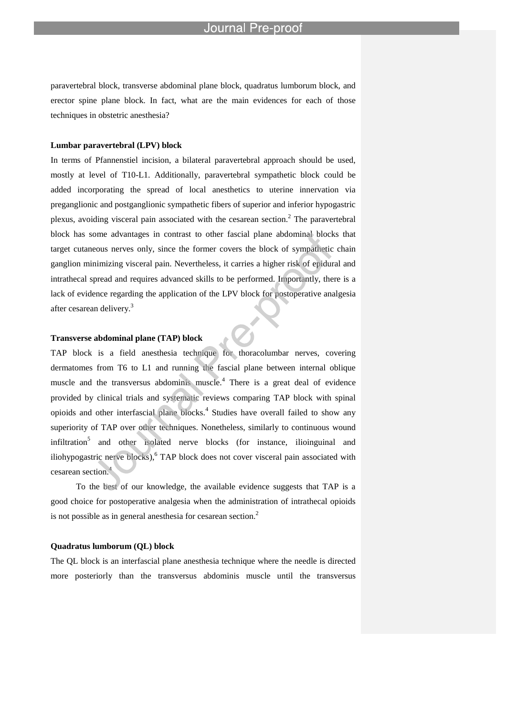paravertebral block, transverse abdominal plane block, quadratus lumborum block, and erector spine plane block. In fact, what are the main evidences for each of those techniques in obstetric anesthesia?

l

#### **Lumbar paravertebral (LPV) block**

In terms of Pfannenstiel incision, a bilateral paravertebral approach should be used, mostly at level of T10-L1. Additionally, paravertebral sympathetic block could be added incorporating the spread of local anesthetics to uterine innervation via preganglionic and postganglionic sympathetic fibers of superior and inferior hypogastric plexus, avoiding visceral pain associated with the cesarean section. $2$  The paravertebral block has some advantages in contrast to other fascial plane abdominal blocks that target cutaneous nerves only, since the former covers the block of sympathetic chain ganglion minimizing visceral pain. Nevertheless, it carries a higher risk of epidural and intrathecal spread and requires advanced skills to be performed. Importantly, there is a lack of evidence regarding the application of the LPV block for postoperative analgesia after cesarean delivery.<sup>3</sup>

#### **Transverse abdominal plane (TAP) block**

TAP block is a field anesthesia technique for thoracolumbar nerves, covering dermatomes from T6 to L1 and running the fascial plane between internal oblique muscle and the transversus abdominis muscle.<sup>4</sup> There is a great deal of evidence provided by clinical trials and systematic reviews comparing TAP block with spinal opioids and other interfascial plane blocks. 4 Studies have overall failed to show any superiority of TAP over other techniques. Nonetheless, similarly to continuous wound infiltration<sup>5</sup> and other isolated nerve blocks (for instance, ilioinguinal and iliohypogastric nerve blocks), <sup>6</sup> TAP block does not cover visceral pain associated with cesarean section.<sup>4</sup>

To the best of our knowledge, the available evidence suggests that TAP is a good choice for postoperative analgesia when the administration of intrathecal opioids is not possible as in general anesthesia for cesarean section.<sup>2</sup>

### **Quadratus lumborum (QL) block**

The QL block is an interfascial plane anesthesia technique where the needle is directed more posteriorly than the transversus abdominis muscle until the transversus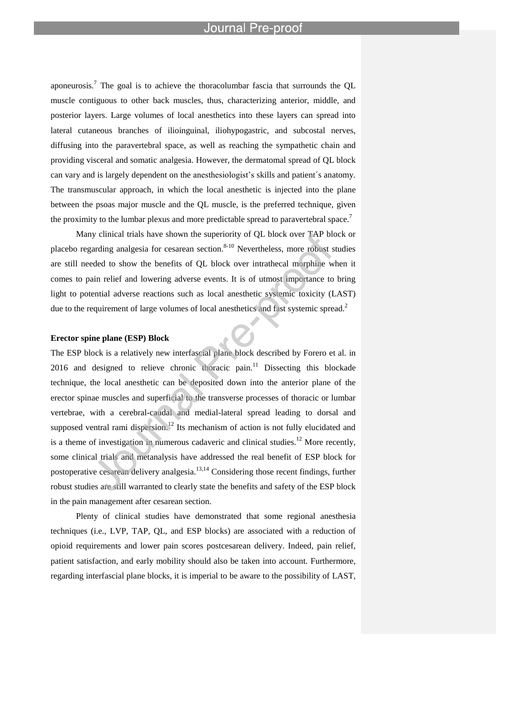aponeurosis.<sup>7</sup> The goal is to achieve the thoracolumbar fascia that surrounds the QL muscle contiguous to other back muscles, thus, characterizing anterior, middle, and posterior layers. Large volumes of local anesthetics into these layers can spread into lateral cutaneous branches of ilioinguinal, iliohypogastric, and subcostal nerves, diffusing into the paravertebral space, as well as reaching the sympathetic chain and providing visceral and somatic analgesia. However, the dermatomal spread of QL block can vary and is largely dependent on the anesthesiologist's skills and patient´s anatomy. The transmuscular approach, in which the local anesthetic is injected into the plane between the psoas major muscle and the QL muscle, is the preferred technique, given the proximity to the lumbar plexus and more predictable spread to paravertebral space.<sup>7</sup>

l

Many clinical trials have shown the superiority of QL block over TAP block or placebo regarding analgesia for cesarean section.<sup>8-10</sup> Nevertheless, more robust studies are still needed to show the benefits of QL block over intrathecal morphine when it comes to pain relief and lowering adverse events. It is of utmost importance to bring light to potential adverse reactions such as local anesthetic systemic toxicity (LAST) due to the requirement of large volumes of local anesthetics and fast systemic spread.<sup>2</sup>

#### **Erector spine plane (ESP) Block**

The ESP block is a relatively new interfascial plane block described by Forero et al. in 2016 and designed to relieve chronic thoracic pain.<sup>11</sup> Dissecting this blockade technique, the local anesthetic can be deposited down into the anterior plane of the erector spinae muscles and superficial to the transverse processes of thoracic or lumbar vertebrae, with a cerebral-caudal and medial-lateral spread leading to dorsal and supposed ventral rami dispersion.<sup>12</sup> Its mechanism of action is not fully elucidated and is a theme of investigation in numerous cadaveric and clinical studies.<sup>12</sup> More recently, some clinical trials and metanalysis have addressed the real benefit of ESP block for postoperative cesarean delivery analgesia.<sup>13,14</sup> Considering those recent findings, further robust studies are still warranted to clearly state the benefits and safety of the ESP block in the pain management after cesarean section.

Plenty of clinical studies have demonstrated that some regional anesthesia techniques (i.e., LVP, TAP, QL, and ESP blocks) are associated with a reduction of opioid requirements and lower pain scores postcesarean delivery. Indeed, pain relief, patient satisfaction, and early mobility should also be taken into account. Furthermore, regarding interfascial plane blocks, it is imperial to be aware to the possibility of LAST,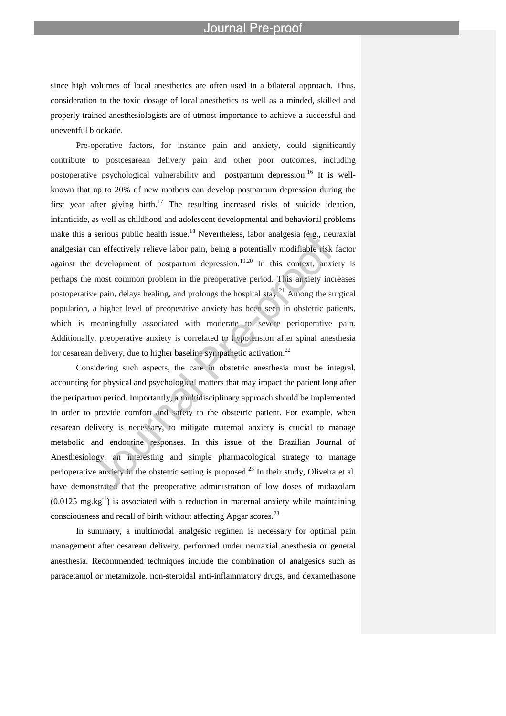#### Journal Pre-proo

since high volumes of local anesthetics are often used in a bilateral approach. Thus, consideration to the toxic dosage of local anesthetics as well as a minded, skilled and properly trained anesthesiologists are of utmost importance to achieve a successful and uneventful blockade.

l

Pre-operative factors, for instance pain and anxiety, could significantly contribute to postcesarean delivery pain and other poor outcomes, including postoperative psychological vulnerability and postpartum depression.<sup>16</sup> It is wellknown that up to 20% of new mothers can develop postpartum depression during the first year after giving birth.<sup>17</sup> The resulting increased risks of suicide ideation, infanticide, as well as childhood and adolescent developmental and behavioral problems make this a serious public health issue.<sup>18</sup> Nevertheless, labor analgesia (e.g., neuraxial analgesia) can effectively relieve labor pain, being a potentially modifiable risk factor against the development of postpartum depression.<sup>19,20</sup> In this context, anxiety is perhaps the most common problem in the preoperative period. This anxiety increases postoperative pain, delays healing, and prolongs the hospital stay.<sup>21</sup> Among the surgical population, a higher level of preoperative anxiety has been seen in obstetric patients, which is meaningfully associated with moderate to severe perioperative pain. Additionally, preoperative anxiety is correlated to hypotension after spinal anesthesia for cesarean delivery, due to higher baseline sympathetic activation.<sup>22</sup>

Considering such aspects, the care in obstetric anesthesia must be integral, accounting for physical and psychological matters that may impact the patient long after the peripartum period. Importantly, a multidisciplinary approach should be implemented in order to provide comfort and safety to the obstetric patient. For example, when cesarean delivery is necessary, to mitigate maternal anxiety is crucial to manage metabolic and endocrine responses. In this issue of the Brazilian Journal of Anesthesiology, an interesting and simple pharmacological strategy to manage perioperative anxiety in the obstetric setting is proposed.<sup>23</sup> In their study, Oliveira et al. have demonstrated that the preoperative administration of low doses of midazolam  $(0.0125 \text{ mg} \cdot \text{kg}^{-1})$  is associated with a reduction in maternal anxiety while maintaining consciousness and recall of birth without affecting Apgar scores.<sup>23</sup>

In summary, a multimodal analgesic regimen is necessary for optimal pain management after cesarean delivery, performed under neuraxial anesthesia or general anesthesia. Recommended techniques include the combination of analgesics such as paracetamol or metamizole, non-steroidal anti-inflammatory drugs, and dexamethasone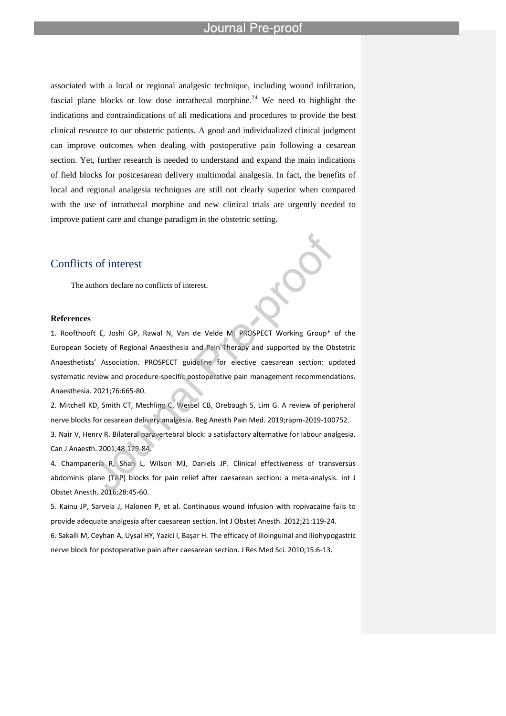associated with a local or regional analgesic technique, including wound infiltration, fascial plane blocks or low dose intrathecal morphine.<sup>24</sup> We need to highlight the indications and contraindications of all medications and procedures to provide the best clinical resource to our obstetric patients. A good and individualized clinical judgment can improve outcomes when dealing with postoperative pain following a cesarean section. Yet, further research is needed to understand and expand the main indications of field blocks for postcesarean delivery multimodal analgesia. In fact, the benefits of local and regional analgesia techniques are still not clearly superior when compared with the use of intrathecal morphine and new clinical trials are urgently needed to improve patient care and change paradigm in the obstetric setting.

l

# Conflicts of interest

The authors declare no conflicts of interest.

### **References**

1. Roofthooft E, Joshi GP, Rawal N, Van de Velde M; PROSPECT Working Group\* of the European Society of Regional Anaesthesia and Pain Therapy and supported by the Obstetric Anaesthetists' Association. PROSPECT guideline for elective caesarean section: updated systematic review and procedure-specific postoperative pain management recommendations. Anaesthesia. 2021;76:665-80.

2. Mitchell KD, Smith CT, Mechling C, Wessel CB, Orebaugh S, Lim G. A review of peripheral nerve blocks for cesarean delivery analgesia. Reg Anesth Pain Med. 2019;rapm-2019-100752.

3. Nair V, Henry R. Bilateral paravertebral block: a satisfactory alternative for labour analgesia. Can J Anaesth. 2001;48:179-84.

4. Champaneria R, Shah L, Wilson MJ, Daniels JP. Clinical effectiveness of transversus abdominis plane (TAP) blocks for pain relief after caesarean section: a meta-analysis. Int J Obstet Anesth. 2016;28:45-60.

5. Kainu JP, Sarvela J, Halonen P, et al. Continuous wound infusion with ropivacaine fails to provide adequate analgesia after caesarean section. Int J Obstet Anesth. 2012;21:119-24.

6. Sakalli M, Ceyhan A, Uysal HY, Yazici I, Başar H. The efficacy of ilioinguinal and iliohypogastric nerve block for postoperative pain after caesarean section. J Res Med Sci. 2010;15:6-13.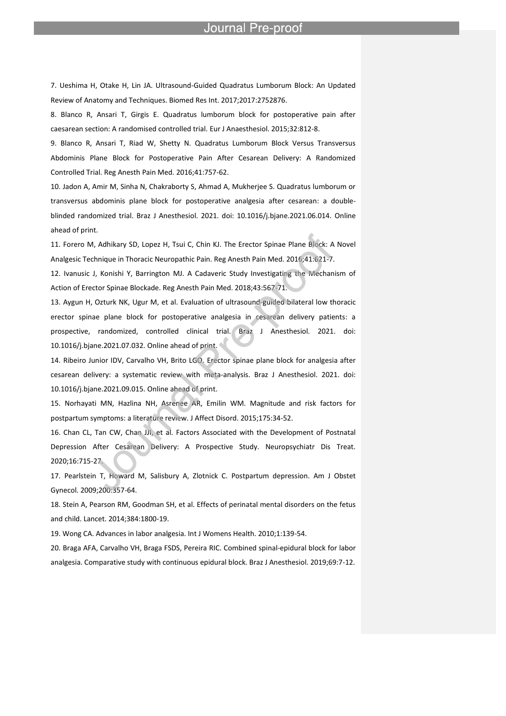7. Ueshima H, Otake H, Lin JA. Ultrasound-Guided Quadratus Lumborum Block: An Updated Review of Anatomy and Techniques. Biomed Res Int. 2017;2017:2752876.

l

8. Blanco R, Ansari T, Girgis E. Quadratus lumborum block for postoperative pain after caesarean section: A randomised controlled trial. Eur J Anaesthesiol. 2015;32:812-8.

9. Blanco R, Ansari T, Riad W, Shetty N. Quadratus Lumborum Block Versus Transversus Abdominis Plane Block for Postoperative Pain After Cesarean Delivery: A Randomized Controlled Trial. Reg Anesth Pain Med. 2016;41:757-62.

10. Jadon A, Amir M, Sinha N, Chakraborty S, Ahmad A, Mukherjee S. Quadratus lumborum or transversus abdominis plane block for postoperative analgesia after cesarean: a doubleblinded randomized trial. Braz J Anesthesiol. 2021. doi: 10.1016/j.bjane.2021.06.014. Online ahead of print.

11. Forero M, Adhikary SD, Lopez H, Tsui C, Chin KJ. The Erector Spinae Plane Block: A Novel Analgesic Technique in Thoracic Neuropathic Pain. Reg Anesth Pain Med. 2016;41:621-7.

12. Ivanusic J, Konishi Y, Barrington MJ. A Cadaveric Study Investigating the Mechanism of Action of Erector Spinae Blockade. Reg Anesth Pain Med. 2018;43:567-71.

13. Aygun H, Ozturk NK, Ugur M, et al. Evaluation of ultrasound-guided bilateral low thoracic erector spinae plane block for postoperative analgesia in cesarean delivery patients: a prospective, randomized, controlled clinical trial. Braz J Anesthesiol. 2021. doi: 10.1016/j.bjane.2021.07.032. Online ahead of print.

14. Ribeiro Junior IDV, Carvalho VH, Brito LGO. Erector spinae plane block for analgesia after cesarean delivery: a systematic review with meta-analysis. Braz J Anesthesiol. 2021. doi: 10.1016/j.bjane.2021.09.015. Online ahead of print.

15. Norhayati MN, Hazlina NH, Asrenee AR, Emilin WM. Magnitude and risk factors for postpartum symptoms: a literature review. J Affect Disord. 2015;175:34-52.

16. Chan CL, Tan CW, Chan JJI, et al. Factors Associated with the Development of Postnatal Depression After Cesarean Delivery: A Prospective Study. Neuropsychiatr Dis Treat. 2020;16:715-27.

17. Pearlstein T, Howard M, Salisbury A, Zlotnick C. Postpartum depression. Am J Obstet Gynecol. 2009;200:357-64.

18. Stein A, Pearson RM, Goodman SH, et al. Effects of perinatal mental disorders on the fetus and child. Lancet. 2014;384:1800-19.

19. Wong CA. Advances in labor analgesia. Int J Womens Health. 2010;1:139-54.

20. Braga AFA, Carvalho VH, Braga FSDS, Pereira RIC. Combined spinal-epidural block for labor analgesia. Comparative study with continuous epidural block. Braz J Anesthesiol. 2019;69:7-12.